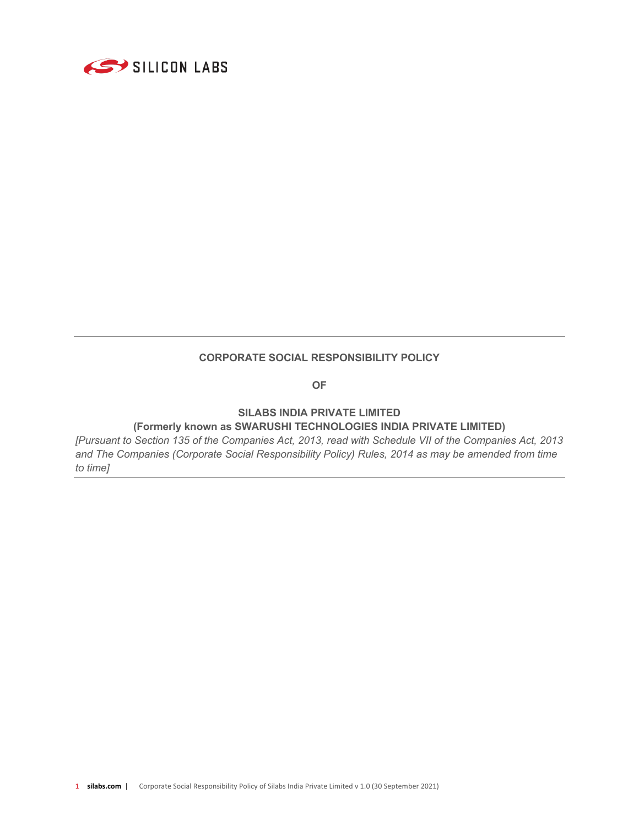

#### **CORPORATE SOCIAL RESPONSIBILITY POLICY**

**OF**

### **SILABS INDIA PRIVATE LIMITED (Formerly known as SWARUSHI TECHNOLOGIES INDIA PRIVATE LIMITED)**

*[Pursuant to Section 135 of the Companies Act, 2013, read with Schedule VII of the Companies Act, 2013 and The Companies (Corporate Social Responsibility Policy) Rules, 2014 as may be amended from time to time]*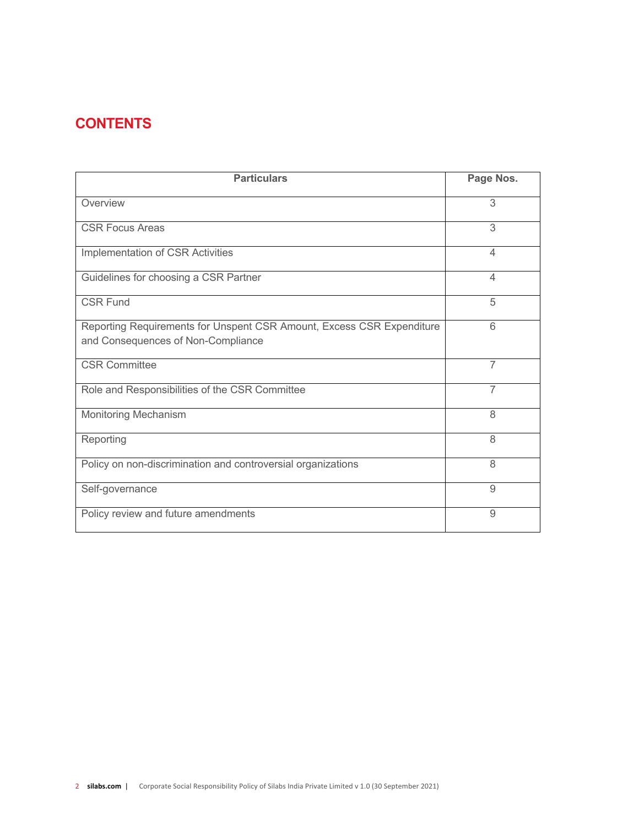# **CONTENTS**

| <b>Particulars</b>                                                                                          | Page Nos.      |
|-------------------------------------------------------------------------------------------------------------|----------------|
| Overview                                                                                                    | 3              |
| <b>CSR Focus Areas</b>                                                                                      | 3              |
| Implementation of CSR Activities                                                                            | 4              |
| Guidelines for choosing a CSR Partner                                                                       | $\overline{4}$ |
| <b>CSR Fund</b>                                                                                             | 5              |
| Reporting Requirements for Unspent CSR Amount, Excess CSR Expenditure<br>and Consequences of Non-Compliance | 6              |
| <b>CSR Committee</b>                                                                                        | 7              |
| Role and Responsibilities of the CSR Committee                                                              | 7              |
| <b>Monitoring Mechanism</b>                                                                                 | 8              |
| Reporting                                                                                                   | 8              |
| Policy on non-discrimination and controversial organizations                                                | 8              |
| Self-governance                                                                                             | 9              |
| Policy review and future amendments                                                                         | 9              |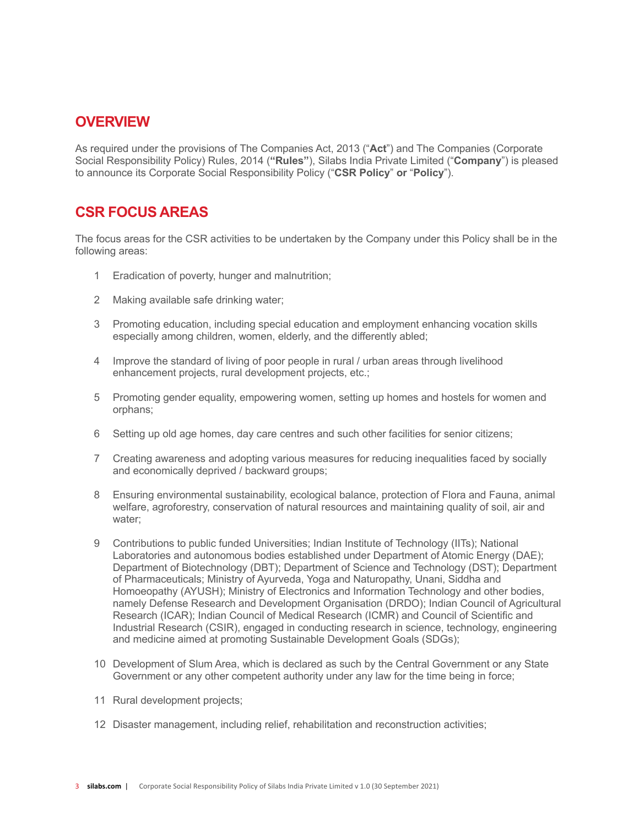### **OVERVIEW**

As required under the provisions of The Companies Act, 2013 ("**Act**") and The Companies (Corporate Social Responsibility Policy) Rules, 2014 (**"Rules"**), Silabs India Private Limited ("**Company**") is pleased to announce its Corporate Social Responsibility Policy ("**CSR Policy**" **or** "**Policy**").

### **CSR FOCUS AREAS**

The focus areas for the CSR activities to be undertaken by the Company under this Policy shall be in the following areas:

- 1 Eradication of poverty, hunger and malnutrition;
- 2 Making available safe drinking water;
- 3 Promoting education, including special education and employment enhancing vocation skills especially among children, women, elderly, and the differently abled;
- 4 Improve the standard of living of poor people in rural / urban areas through livelihood enhancement projects, rural development projects, etc.;
- 5 Promoting gender equality, empowering women, setting up homes and hostels for women and orphans;
- 6 Setting up old age homes, day care centres and such other facilities for senior citizens;
- 7 Creating awareness and adopting various measures for reducing inequalities faced by socially and economically deprived / backward groups;
- 8 Ensuring environmental sustainability, ecological balance, protection of Flora and Fauna, animal welfare, agroforestry, conservation of natural resources and maintaining quality of soil, air and water;
- 9 Contributions to public funded Universities; Indian Institute of Technology (IITs); National Laboratories and autonomous bodies established under Department of Atomic Energy (DAE); Department of Biotechnology (DBT); Department of Science and Technology (DST); Department of Pharmaceuticals; Ministry of Ayurveda, Yoga and Naturopathy, Unani, Siddha and Homoeopathy (AYUSH); Ministry of Electronics and Information Technology and other bodies, namely Defense Research and Development Organisation (DRDO); Indian Council of Agricultural Research (ICAR); Indian Council of Medical Research (ICMR) and Council of Scientific and Industrial Research (CSIR), engaged in conducting research in science, technology, engineering and medicine aimed at promoting Sustainable Development Goals (SDGs);
- 10 Development of Slum Area, which is declared as such by the Central Government or any State Government or any other competent authority under any law for the time being in force;
- 11 Rural development projects;
- 12 Disaster management, including relief, rehabilitation and reconstruction activities;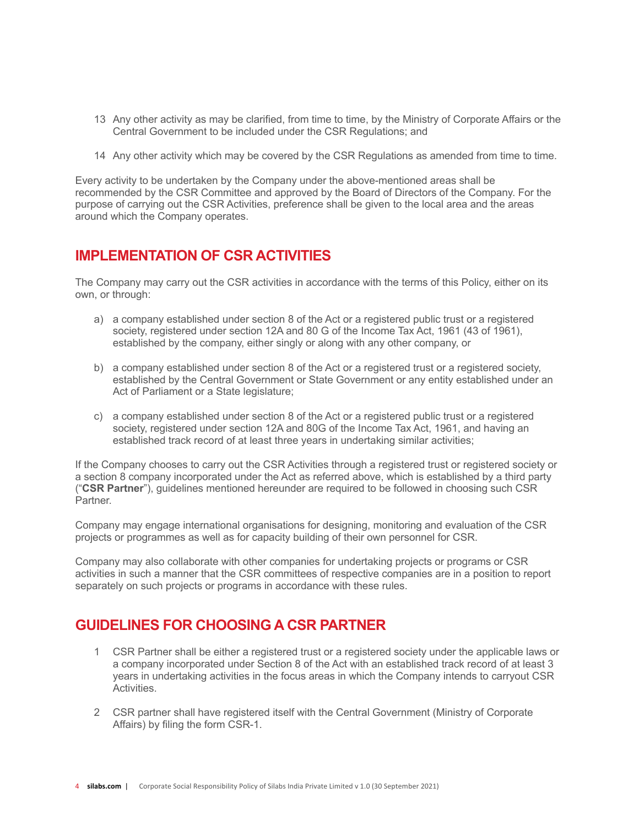- 13 Any other activity as may be clarified, from time to time, by the Ministry of Corporate Affairs or the Central Government to be included under the CSR Regulations; and
- 14 Any other activity which may be covered by the CSR Regulations as amended from time to time.

Every activity to be undertaken by the Company under the above-mentioned areas shall be recommended by the CSR Committee and approved by the Board of Directors of the Company. For the purpose of carrying out the CSR Activities, preference shall be given to the local area and the areas around which the Company operates.

### **IMPLEMENTATION OF CSR ACTIVITIES**

The Company may carry out the CSR activities in accordance with the terms of this Policy, either on its own, or through:

- a) a company established under section 8 of the Act or a registered public trust or a registered society, registered under section 12A and 80 G of the Income Tax Act, 1961 (43 of 1961), established by the company, either singly or along with any other company, or
- b) a company established under section 8 of the Act or a registered trust or a registered society, established by the Central Government or State Government or any entity established under an Act of Parliament or a State legislature;
- c) a company established under section 8 of the Act or a registered public trust or a registered society, registered under section 12A and 80G of the Income Tax Act, 1961, and having an established track record of at least three years in undertaking similar activities;

If the Company chooses to carry out the CSR Activities through a registered trust or registered society or a section 8 company incorporated under the Act as referred above, which is established by a third party ("**CSR Partner**"), guidelines mentioned hereunder are required to be followed in choosing such CSR Partner.

Company may engage international organisations for designing, monitoring and evaluation of the CSR projects or programmes as well as for capacity building of their own personnel for CSR.

Company may also collaborate with other companies for undertaking projects or programs or CSR activities in such a manner that the CSR committees of respective companies are in a position to report separately on such projects or programs in accordance with these rules.

## **GUIDELINES FOR CHOOSING A CSR PARTNER**

- 1 CSR Partner shall be either a registered trust or a registered society under the applicable laws or a company incorporated under Section 8 of the Act with an established track record of at least 3 years in undertaking activities in the focus areas in which the Company intends to carryout CSR Activities.
- 2 CSR partner shall have registered itself with the Central Government (Ministry of Corporate Affairs) by filing the form CSR-1.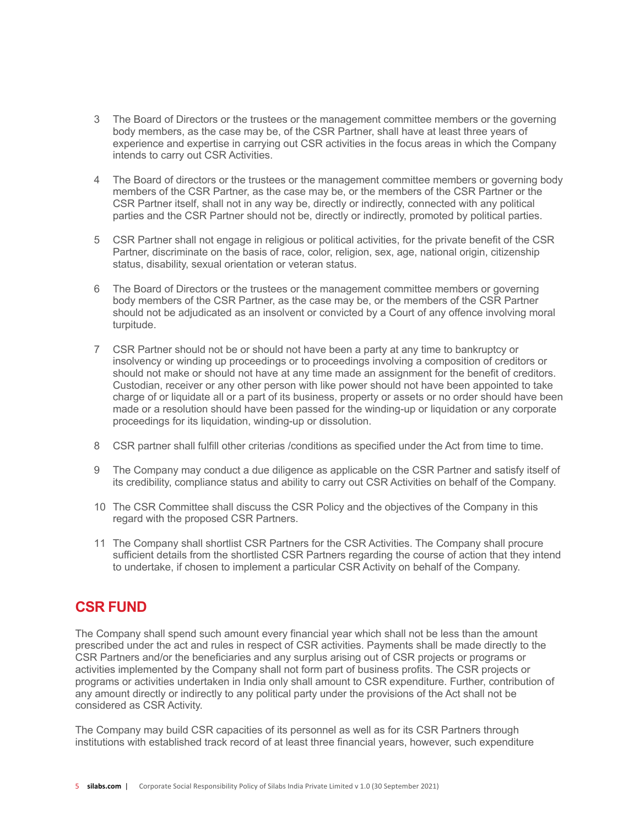- 3 The Board of Directors or the trustees or the management committee members or the governing body members, as the case may be, of the CSR Partner, shall have at least three years of experience and expertise in carrying out CSR activities in the focus areas in which the Company intends to carry out CSR Activities.
- 4 The Board of directors or the trustees or the management committee members or governing body members of the CSR Partner, as the case may be, or the members of the CSR Partner or the CSR Partner itself, shall not in any way be, directly or indirectly, connected with any political parties and the CSR Partner should not be, directly or indirectly, promoted by political parties.
- 5 CSR Partner shall not engage in religious or political activities, for the private benefit of the CSR Partner, discriminate on the basis of race, color, religion, sex, age, national origin, citizenship status, disability, sexual orientation or veteran status.
- 6 The Board of Directors or the trustees or the management committee members or governing body members of the CSR Partner, as the case may be, or the members of the CSR Partner should not be adjudicated as an insolvent or convicted by a Court of any offence involving moral turpitude.
- 7 CSR Partner should not be or should not have been a party at any time to bankruptcy or insolvency or winding up proceedings or to proceedings involving a composition of creditors or should not make or should not have at any time made an assignment for the benefit of creditors. Custodian, receiver or any other person with like power should not have been appointed to take charge of or liquidate all or a part of its business, property or assets or no order should have been made or a resolution should have been passed for the winding-up or liquidation or any corporate proceedings for its liquidation, winding-up or dissolution.
- 8 CSR partner shall fulfill other criterias /conditions as specified under the Act from time to time.
- 9 The Company may conduct a due diligence as applicable on the CSR Partner and satisfy itself of its credibility, compliance status and ability to carry out CSR Activities on behalf of the Company.
- 10 The CSR Committee shall discuss the CSR Policy and the objectives of the Company in this regard with the proposed CSR Partners.
- 11 The Company shall shortlist CSR Partners for the CSR Activities. The Company shall procure sufficient details from the shortlisted CSR Partners regarding the course of action that they intend to undertake, if chosen to implement a particular CSR Activity on behalf of the Company.

### **CSR FUND**

The Company shall spend such amount every financial year which shall not be less than the amount prescribed under the act and rules in respect of CSR activities. Payments shall be made directly to the CSR Partners and/or the beneficiaries and any surplus arising out of CSR projects or programs or activities implemented by the Company shall not form part of business profits. The CSR projects or programs or activities undertaken in India only shall amount to CSR expenditure. Further, contribution of any amount directly or indirectly to any political party under the provisions of the Act shall not be considered as CSR Activity.

The Company may build CSR capacities of its personnel as well as for its CSR Partners through institutions with established track record of at least three financial years, however, such expenditure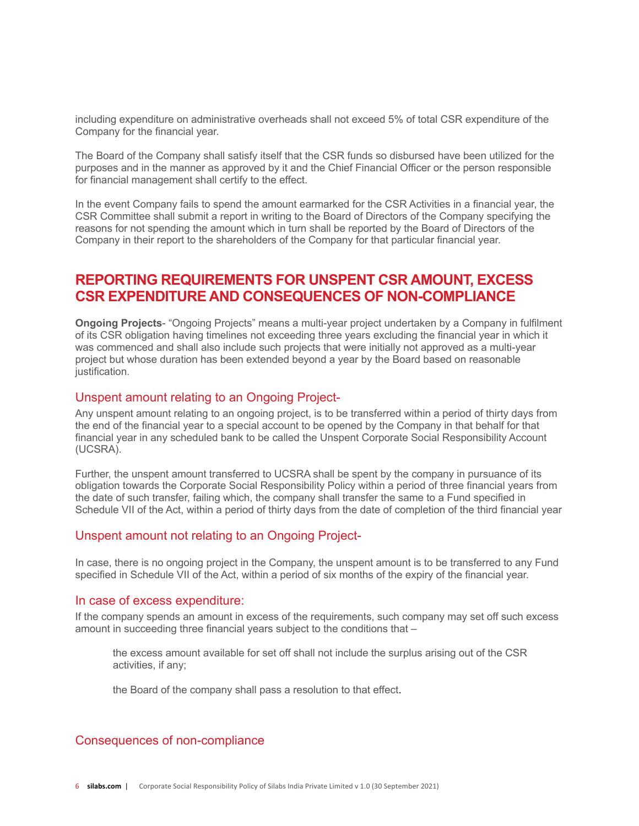including expenditure on administrative overheads shall not exceed 5% of total CSR expenditure of the Company for the financial year.

The Board of the Company shall satisfy itself that the CSR funds so disbursed have been utilized for the purposes and in the manner as approved by it and the Chief Financial Officer or the person responsible for financial management shall certify to the effect.

In the event Company fails to spend the amount earmarked for the CSR Activities in a financial year, the CSR Committee shall submit a report in writing to the Board of Directors of the Company specifying the reasons for not spending the amount which in turn shall be reported by the Board of Directors of the Company in their report to the shareholders of the Company for that particular financial year.

### **REPORTING REQUIREMENTS FOR UNSPENT CSR AMOUNT, EXCESS CSR EXPENDITURE AND CONSEQUENCES OF NON-COMPLIANCE**

**Ongoing Projects**- "Ongoing Projects" means a multi-year project undertaken by a Company in fulfilment of its CSR obligation having timelines not exceeding three years excluding the financial year in which it was commenced and shall also include such projects that were initially not approved as a multi-year project but whose duration has been extended beyond a year by the Board based on reasonable justification.

#### Unspent amount relating to an Ongoing Project-

Any unspent amount relating to an ongoing project, is to be transferred within a period of thirty days from the end of the financial year to a special account to be opened by the Company in that behalf for that financial year in any scheduled bank to be called the Unspent Corporate Social Responsibility Account (UCSRA).

Further, the unspent amount transferred to UCSRA shall be spent by the company in pursuance of its obligation towards the Corporate Social Responsibility Policy within a period of three financial years from the date of such transfer, failing which, the company shall transfer the same to a Fund specified in Schedule VII of the Act, within a period of thirty days from the date of completion of the third financial year

#### Unspent amount not relating to an Ongoing Project-

In case, there is no ongoing project in the Company, the unspent amount is to be transferred to any Fund specified in Schedule VII of the Act, within a period of six months of the expiry of the financial year.

#### In case of excess expenditure:

If the company spends an amount in excess of the requirements, such company may set off such excess amount in succeeding three financial years subject to the conditions that –

the excess amount available for set off shall not include the surplus arising out of the CSR activities, if any;

the Board of the company shall pass a resolution to that effect.

#### Consequences of non-compliance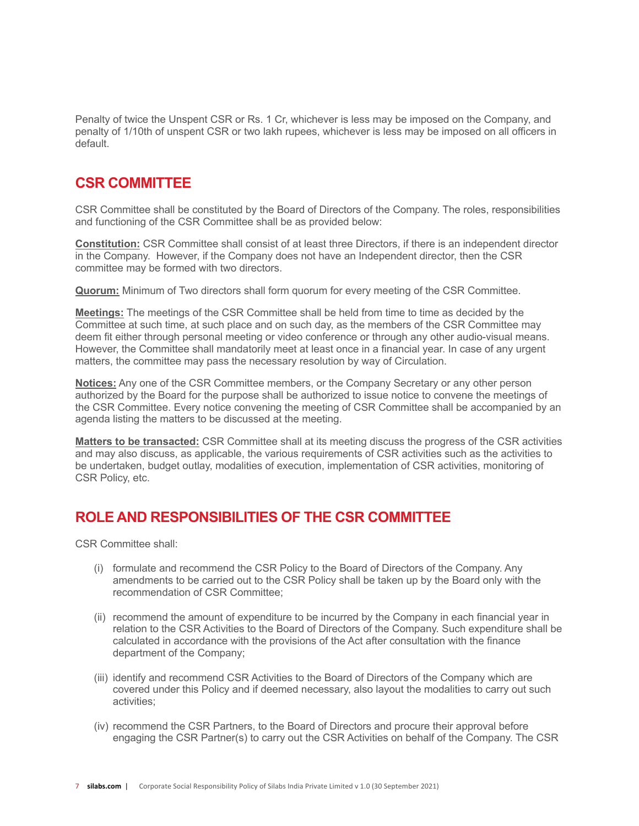Penalty of twice the Unspent CSR or Rs. 1 Cr, whichever is less may be imposed on the Company, and penalty of 1/10th of unspent CSR or two lakh rupees, whichever is less may be imposed on all officers in default.

### **CSR COMMITTEE**

CSR Committee shall be constituted by the Board of Directors of the Company. The roles, responsibilities and functioning of the CSR Committee shall be as provided below:

**Constitution:** CSR Committee shall consist of at least three Directors, if there is an independent director in the Company. However, if the Company does not have an Independent director, then the CSR committee may be formed with two directors.

**Quorum:** Minimum of Two directors shall form quorum for every meeting of the CSR Committee.

**Meetings:** The meetings of the CSR Committee shall be held from time to time as decided by the Committee at such time, at such place and on such day, as the members of the CSR Committee may deem fit either through personal meeting or video conference or through any other audio-visual means. However, the Committee shall mandatorily meet at least once in a financial year. In case of any urgent matters, the committee may pass the necessary resolution by way of Circulation.

**Notices:** Any one of the CSR Committee members, or the Company Secretary or any other person authorized by the Board for the purpose shall be authorized to issue notice to convene the meetings of the CSR Committee. Every notice convening the meeting of CSR Committee shall be accompanied by an agenda listing the matters to be discussed at the meeting.

**Matters to be transacted:** CSR Committee shall at its meeting discuss the progress of the CSR activities and may also discuss, as applicable, the various requirements of CSR activities such as the activities to be undertaken, budget outlay, modalities of execution, implementation of CSR activities, monitoring of CSR Policy, etc.

## **ROLE AND RESPONSIBILITIES OF THE CSR COMMITTEE**

CSR Committee shall:

- (i) formulate and recommend the CSR Policy to the Board of Directors of the Company. Any amendments to be carried out to the CSR Policy shall be taken up by the Board only with the recommendation of CSR Committee;
- (ii) recommend the amount of expenditure to be incurred by the Company in each financial year in relation to the CSR Activities to the Board of Directors of the Company. Such expenditure shall be calculated in accordance with the provisions of the Act after consultation with the finance department of the Company;
- (iii) identify and recommend CSR Activities to the Board of Directors of the Company which are covered under this Policy and if deemed necessary, also layout the modalities to carry out such activities;
- (iv) recommend the CSR Partners, to the Board of Directors and procure their approval before engaging the CSR Partner(s) to carry out the CSR Activities on behalf of the Company. The CSR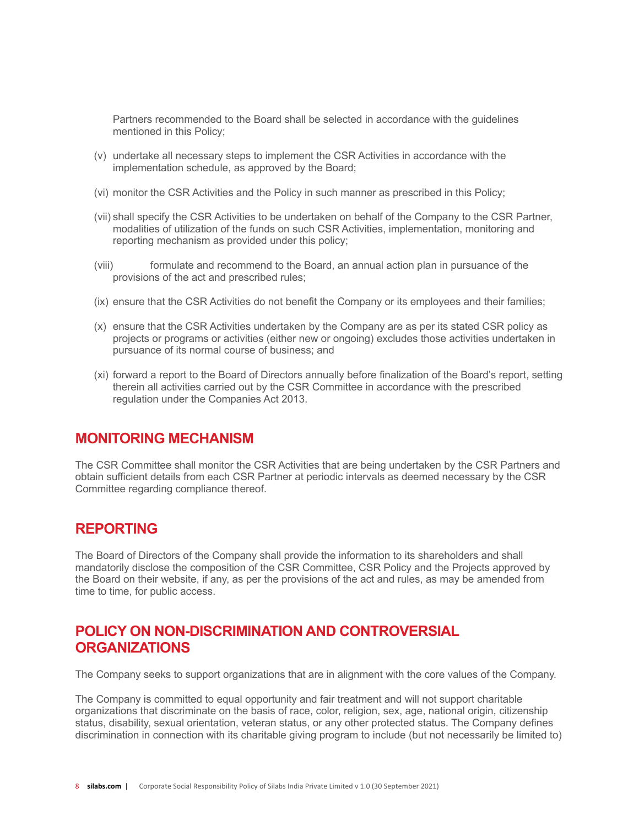Partners recommended to the Board shall be selected in accordance with the guidelines mentioned in this Policy;

- (v) undertake all necessary steps to implement the CSR Activities in accordance with the implementation schedule, as approved by the Board;
- (vi) monitor the CSR Activities and the Policy in such manner as prescribed in this Policy;
- (vii) shall specify the CSR Activities to be undertaken on behalf of the Company to the CSR Partner, modalities of utilization of the funds on such CSR Activities, implementation, monitoring and reporting mechanism as provided under this policy;
- (viii) formulate and recommend to the Board, an annual action plan in pursuance of the provisions of the act and prescribed rules;
- (ix) ensure that the CSR Activities do not benefit the Company or its employees and their families;
- (x) ensure that the CSR Activities undertaken by the Company are as per its stated CSR policy as projects or programs or activities (either new or ongoing) excludes those activities undertaken in pursuance of its normal course of business; and
- (xi) forward a report to the Board of Directors annually before finalization of the Board's report, setting therein all activities carried out by the CSR Committee in accordance with the prescribed regulation under the Companies Act 2013.

### **MONITORING MECHANISM**

The CSR Committee shall monitor the CSR Activities that are being undertaken by the CSR Partners and obtain sufficient details from each CSR Partner at periodic intervals as deemed necessary by the CSR Committee regarding compliance thereof.

### **REPORTING**

The Board of Directors of the Company shall provide the information to its shareholders and shall mandatorily disclose the composition of the CSR Committee, CSR Policy and the Projects approved by the Board on their website, if any, as per the provisions of the act and rules, as may be amended from time to time, for public access.

## **POLICY ON NON-DISCRIMINATION AND CONTROVERSIAL ORGANIZATIONS**

The Company seeks to support organizations that are in alignment with the core values of the Company.

The Company is committed to equal opportunity and fair treatment and will not support charitable organizations that discriminate on the basis of race, color, religion, sex, age, national origin, citizenship status, disability, sexual orientation, veteran status, or any other protected status. The Company defines discrimination in connection with its charitable giving program to include (but not necessarily be limited to)